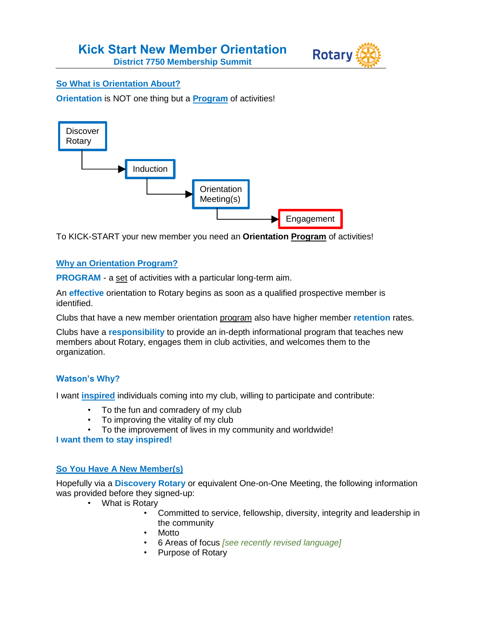

# **So What is Orientation About?**

**Orientation** is NOT one thing but a **Program** of activities!



To KICK-START your new member you need an **Orientation Program** of activities!

#### **Why an Orientation Program?**

**PROGRAM** - a set of activities with a particular long-term aim.

An **effective** orientation to Rotary begins as soon as a qualified prospective member is identified.

Clubs that have a new member orientation program also have higher member **retention** rates.

Clubs have a **responsibility** to provide an in-depth informational program that teaches new members about Rotary, engages them in club activities, and welcomes them to the organization.

# **Watson's Why?**

I want **inspired** individuals coming into my club, willing to participate and contribute:

- To the fun and comradery of my club
- To improving the vitality of my club
- To the improvement of lives in my community and worldwide!

**I want them to stay inspired!**

# **So You Have A New Member(s)**

Hopefully via a **Discovery Rotary** or equivalent One-on-One Meeting, the following information was provided before they signed-up:

- What is Rotary
	- Committed to service, fellowship, diversity, integrity and leadership in the community
	- Motto
	- 6 Areas of focus *[see recently revised language]*
	- Purpose of Rotary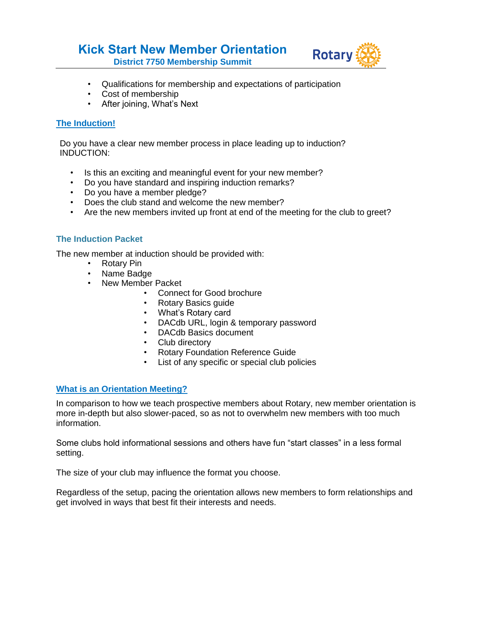# **Kick Start New Member Orientation District 7750 Membership Summit**



- Qualifications for membership and expectations of participation
- Cost of membership
- After joining, What's Next

# **The Induction!**

Do you have a clear new member process in place leading up to induction? INDUCTION:

- Is this an exciting and meaningful event for your new member?
- Do you have standard and inspiring induction remarks?
- Do you have a member pledge?
- Does the club stand and welcome the new member?
- Are the new members invited up front at end of the meeting for the club to greet?

# **The Induction Packet**

The new member at induction should be provided with:

- Rotary Pin
- Name Badge
- New Member Packet
	- Connect for Good brochure
	- Rotary Basics guide
	- What's Rotary card
	- DACdb URL, login & temporary password
	- DACdb Basics document
	- Club directory
	- Rotary Foundation Reference Guide
	- List of any specific or special club policies

# **What is an Orientation Meeting?**

In comparison to how we teach prospective members about Rotary, new member orientation is more in-depth but also slower-paced, so as not to overwhelm new members with too much information.

Some clubs hold informational sessions and others have fun "start classes" in a less formal setting.

The size of your club may influence the format you choose.

Regardless of the setup, pacing the orientation allows new members to form relationships and get involved in ways that best fit their interests and needs.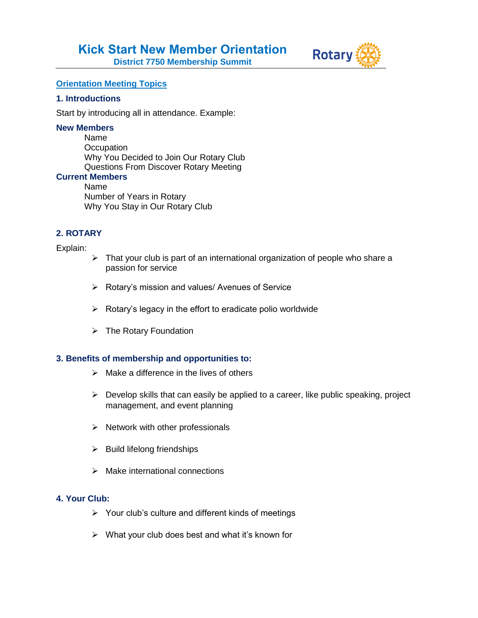



#### **Orientation Meeting Topics**

#### **1. Introductions**

Start by introducing all in attendance. Example:

#### **New Members**

Name **Occupation** Why You Decided to Join Our Rotary Club Questions From Discover Rotary Meeting

# **Current Members**

Name Number of Years in Rotary Why You Stay in Our Rotary Club

#### **2. ROTARY**

#### Explain:

- $\triangleright$  That your club is part of an international organization of people who share a passion for service
- ▶ Rotary's mission and values/ Avenues of Service
- $\triangleright$  Rotary's legacy in the effort to eradicate polio worldwide
- $\triangleright$  The Rotary Foundation

#### **3. Benefits of membership and opportunities to:**

- $\triangleright$  Make a difference in the lives of others
- $\triangleright$  Develop skills that can easily be applied to a career, like public speaking, project management, and event planning
- $\triangleright$  Network with other professionals
- $\triangleright$  Build lifelong friendships
- $\triangleright$  Make international connections

# **4. Your Club:**

- $\triangleright$  Your club's culture and different kinds of meetings
- $\triangleright$  What your club does best and what it's known for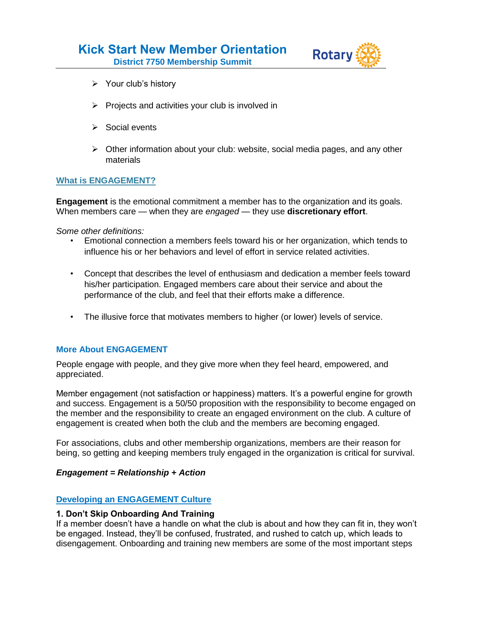

- $\triangleright$  Your club's history
- $\triangleright$  Projects and activities your club is involved in
- $\triangleright$  Social events
- $\triangleright$  Other information about your club: website, social media pages, and any other materials

# **What is ENGAGEMENT?**

**Engagement** is the emotional commitment a member has to the organization and its goals. When members care — when they are *engaged* — they use **discretionary effort**.

*Some other definitions:*

- Emotional connection a members feels toward his or her organization, which tends to influence his or her behaviors and level of effort in service related activities.
- Concept that describes the level of enthusiasm and dedication a member feels toward his/her participation. Engaged members care about their service and about the performance of the club, and feel that their efforts make a difference.
- The illusive force that motivates members to higher (or lower) levels of service.

#### **More About ENGAGEMENT**

People engage with people, and they give more when they feel heard, empowered, and appreciated.

Member engagement (not satisfaction or happiness) matters. It's a powerful engine for growth and success. Engagement is a 50/50 proposition with the responsibility to become engaged on the member and the responsibility to create an engaged environment on the club. A culture of engagement is created when both the club and the members are becoming engaged.

For associations, clubs and other membership organizations, members are their reason for being, so getting and keeping members truly engaged in the organization is critical for survival.

#### *Engagement = Relationship + Action*

#### **Developing an ENGAGEMENT Culture**

#### **1. Don't Skip Onboarding And Training**

If a member doesn't have a handle on what the club is about and how they can fit in, they won't be engaged. Instead, they'll be confused, frustrated, and rushed to catch up, which leads to disengagement. Onboarding and training new members are some of the most important steps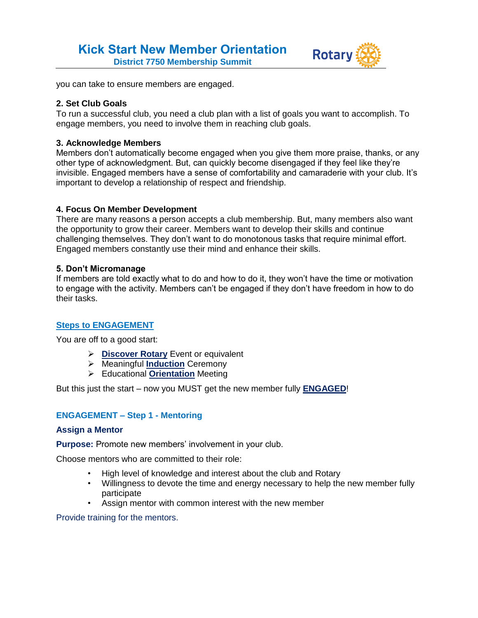

you can take to ensure members are engaged.

#### **2. Set Club Goals**

To run a successful club, you need a club plan with a list of goals you want to accomplish. To engage members, you need to involve them in reaching club goals.

#### **3. Acknowledge Members**

Members don't automatically become engaged when you give them more praise, thanks, or any other type of acknowledgment. But, can quickly become disengaged if they feel like they're invisible. Engaged members have a sense of comfortability and camaraderie with your club. It's important to develop a relationship of respect and friendship.

#### **4. Focus On Member Development**

There are many reasons a person accepts a club membership. But, many members also want the opportunity to grow their career. Members want to develop their skills and continue challenging themselves. They don't want to do monotonous tasks that require minimal effort. Engaged members constantly use their mind and enhance their skills.

#### **5. Don't Micromanage**

If members are told exactly what to do and how to do it, they won't have the time or motivation to engage with the activity. Members can't be engaged if they don't have freedom in how to do their tasks.

# **Steps to ENGAGEMENT**

You are off to a good start:

- **Discover Rotary** Event or equivalent
- Meaningful **Induction** Ceremony
- Educational **Orientation** Meeting

But this just the start – now you MUST get the new member fully **ENGAGED**!

# **ENGAGEMENT – Step 1 - Mentoring**

#### **Assign a Mentor**

**Purpose:** Promote new members' involvement in your club.

Choose mentors who are committed to their role:

- High level of knowledge and interest about the club and Rotary
- Willingness to devote the time and energy necessary to help the new member fully participate
- Assign mentor with common interest with the new member

Provide training for the mentors.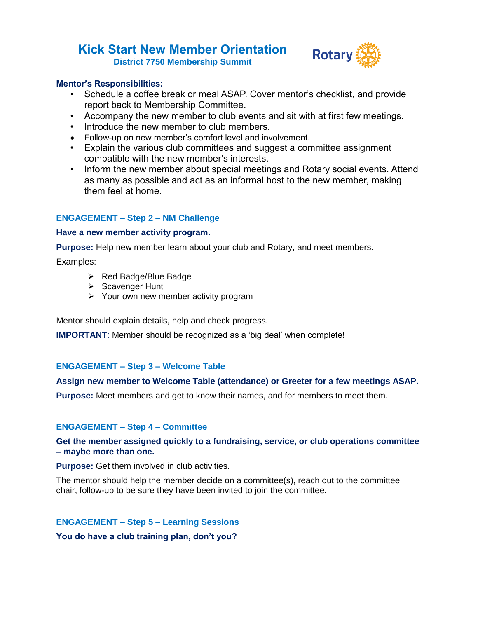**Kick Start New Member Orientation District 7750 Membership Summit**



#### **Mentor's Responsibilities:**

- Schedule a coffee break or meal ASAP. Cover mentor's checklist, and provide report back to Membership Committee.
- Accompany the new member to club events and sit with at first few meetings.
- Introduce the new member to club members.
- Follow-up on new member's comfort level and involvement.
- Explain the various club committees and suggest a committee assignment compatible with the new member's interests.
- Inform the new member about special meetings and Rotary social events. Attend as many as possible and act as an informal host to the new member, making them feel at home.

# **ENGAGEMENT – Step 2 – NM Challenge**

#### **Have a new member activity program.**

**Purpose:** Help new member learn about your club and Rotary, and meet members.

Examples:

- $\triangleright$  Red Badge/Blue Badge
- $\triangleright$  Scavenger Hunt
- $\triangleright$  Your own new member activity program

Mentor should explain details, help and check progress.

**IMPORTANT**: Member should be recognized as a 'big deal' when complete!

# **ENGAGEMENT – Step 3 – Welcome Table**

# **Assign new member to Welcome Table (attendance) or Greeter for a few meetings ASAP.**

**Purpose:** Meet members and get to know their names, and for members to meet them.

# **ENGAGEMENT – Step 4 – Committee**

**Get the member assigned quickly to a fundraising, service, or club operations committee – maybe more than one.**

**Purpose:** Get them involved in club activities.

The mentor should help the member decide on a committee(s), reach out to the committee chair, follow-up to be sure they have been invited to join the committee.

# **ENGAGEMENT – Step 5 – Learning Sessions**

**You do have a club training plan, don't you?**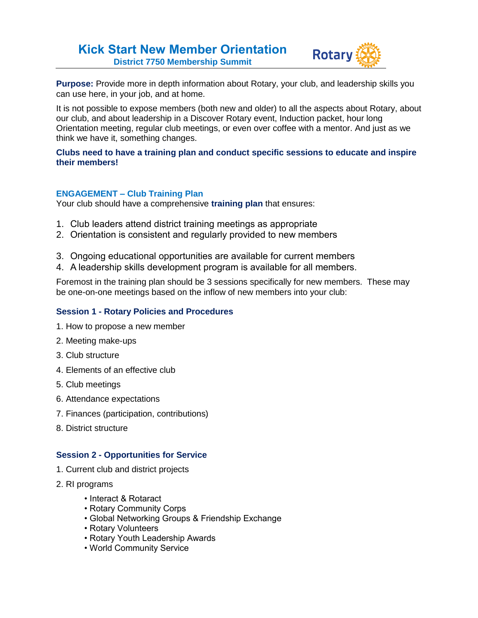# **Kick Start New Member Orientation District 7750 Membership Summit**



**Purpose:** Provide more in depth information about Rotary, your club, and leadership skills you can use here, in your job, and at home.

It is not possible to expose members (both new and older) to all the aspects about Rotary, about our club, and about leadership in a Discover Rotary event, Induction packet, hour long Orientation meeting, regular club meetings, or even over coffee with a mentor. And just as we think we have it, something changes.

#### **Clubs need to have a training plan and conduct specific sessions to educate and inspire their members!**

# **ENGAGEMENT – Club Training Plan**

Your club should have a comprehensive **training plan** that ensures:

- 1. Club leaders attend district training meetings as appropriate
- 2. Orientation is consistent and regularly provided to new members
- 3. Ongoing educational opportunities are available for current members
- 4. A leadership skills development program is available for all members.

Foremost in the training plan should be 3 sessions specifically for new members. These may be one-on-one meetings based on the inflow of new members into your club:

#### **Session 1 - Rotary Policies and Procedures**

- 1. How to propose a new member
- 2. Meeting make-ups
- 3. Club structure
- 4. Elements of an effective club
- 5. Club meetings
- 6. Attendance expectations
- 7. Finances (participation, contributions)
- 8. District structure

#### **Session 2 - Opportunities for Service**

- 1. Current club and district projects
- 2. RI programs
	- Interact & Rotaract
	- Rotary Community Corps
	- Global Networking Groups & Friendship Exchange
	- Rotary Volunteers
	- Rotary Youth Leadership Awards
	- World Community Service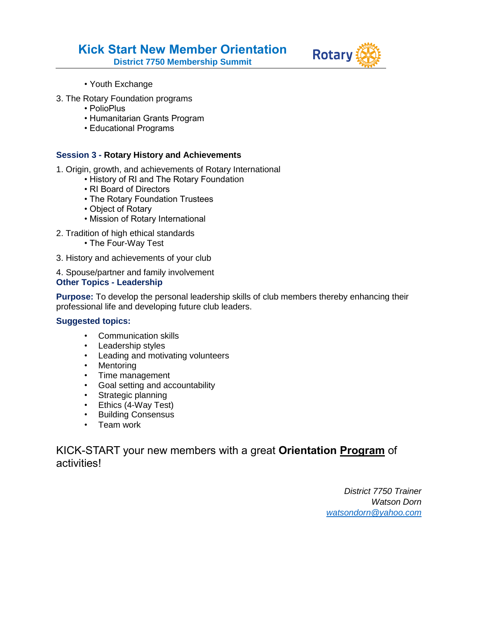**Kick Start New Member Orientation**

**District 7750 Membership Summit**



- Youth Exchange
- 3. The Rotary Foundation programs
	- PolioPlus
	- Humanitarian Grants Program
	- Educational Programs

#### **Session 3 - Rotary History and Achievements**

- 1. Origin, growth, and achievements of Rotary International
	- History of RI and The Rotary Foundation
	- RI Board of Directors
	- The Rotary Foundation Trustees
	- Object of Rotary
	- Mission of Rotary International
- 2. Tradition of high ethical standards
	- The Four-Way Test
- 3. History and achievements of your club
- 4. Spouse/partner and family involvement **Other Topics - Leadership**

**Purpose:** To develop the personal leadership skills of club members thereby enhancing their professional life and developing future club leaders.

#### **Suggested topics:**

- Communication skills
- Leadership styles
- Leading and motivating volunteers
- Mentoring
- Time management
- Goal setting and accountability
- Strategic planning
- Ethics (4-Way Test)
- Building Consensus
- Team work

# KICK-START your new members with a great **Orientation Program** of activities!

*District 7750 Trainer Watson Dorn [watsondorn@yahoo.com](mailto:watsondorn@yahoo.com)*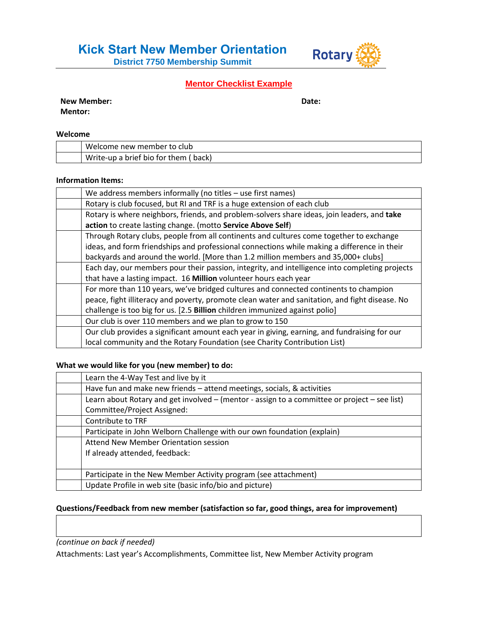**District 7750 Membership Summit**



# **Mentor Checklist Example**

| <b>New Member:</b> | Date: |
|--------------------|-------|
|                    |       |

**Mentor:**

#### **Welcome**

| Welcome new member to club           |
|--------------------------------------|
| Write-up a brief bio for them (back) |

#### **Information Items:**

| We address members informally (no titles - use first names)                                    |
|------------------------------------------------------------------------------------------------|
| Rotary is club focused, but RI and TRF is a huge extension of each club                        |
| Rotary is where neighbors, friends, and problem-solvers share ideas, join leaders, and take    |
| action to create lasting change. (motto Service Above Self)                                    |
| Through Rotary clubs, people from all continents and cultures come together to exchange        |
| ideas, and form friendships and professional connections while making a difference in their    |
| backyards and around the world. [More than 1.2 million members and 35,000+ clubs]              |
| Each day, our members pour their passion, integrity, and intelligence into completing projects |
| that have a lasting impact. 16 Million volunteer hours each year                               |
| For more than 110 years, we've bridged cultures and connected continents to champion           |
| peace, fight illiteracy and poverty, promote clean water and sanitation, and fight disease. No |
| challenge is too big for us. [2.5 Billion children immunized against polio]                    |
| Our club is over 110 members and we plan to grow to 150                                        |
| Our club provides a significant amount each year in giving, earning, and fundraising for our   |
| local community and the Rotary Foundation (see Charity Contribution List)                      |

#### **What we would like for you (new member) to do:**

| Learn the 4-Way Test and live by it                                                                                         |
|-----------------------------------------------------------------------------------------------------------------------------|
| Have fun and make new friends – attend meetings, socials, & activities                                                      |
| Learn about Rotary and get involved – (mentor - assign to a committee or project – see list)<br>Committee/Project Assigned: |
| Contribute to TRF                                                                                                           |
| Participate in John Welborn Challenge with our own foundation (explain)                                                     |
| Attend New Member Orientation session                                                                                       |
| If already attended, feedback:                                                                                              |
|                                                                                                                             |
| Participate in the New Member Activity program (see attachment)                                                             |
| Update Profile in web site (basic info/bio and picture)                                                                     |

#### **Questions/Feedback from new member (satisfaction so far, good things, area for improvement)**

*(continue on back if needed)*

Attachments: Last year's Accomplishments, Committee list, New Member Activity program